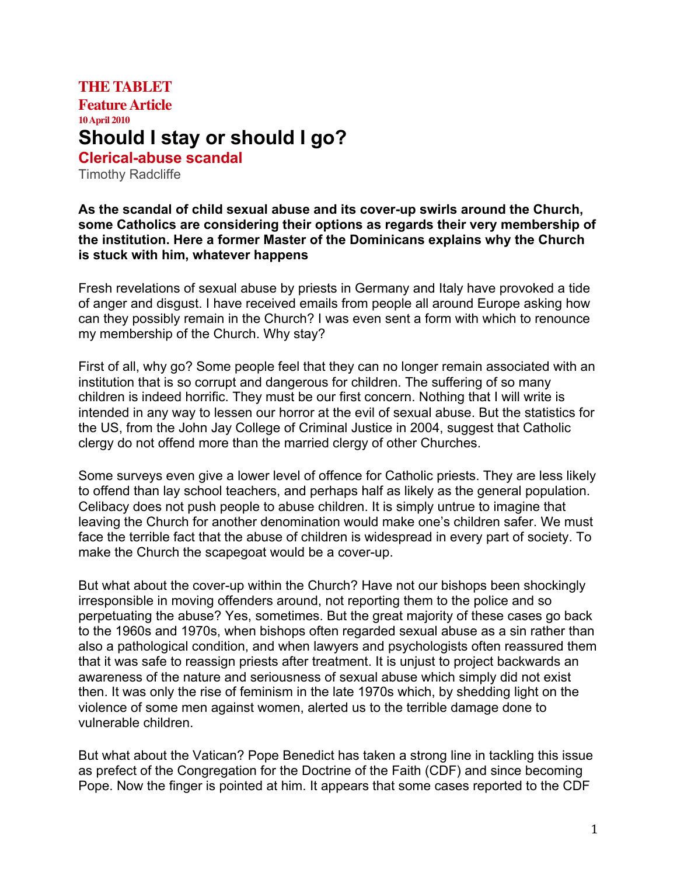## **THE TABLET Feature Article 10 April 2010 Should I stay or should I go?**

**Clerical-abuse scandal**

Timothy Radcliffe

**As the scandal of child sexual abuse and its cover-up swirls around the Church, some Catholics are considering their options as regards their very membership of the institution. Here a former Master of the Dominicans explains why the Church is stuck with him, whatever happens**

Fresh revelations of sexual abuse by priests in Germany and Italy have provoked a tide of anger and disgust. I have received emails from people all around Europe asking how can they possibly remain in the Church? I was even sent a form with which to renounce my membership of the Church. Why stay?

First of all, why go? Some people feel that they can no longer remain associated with an institution that is so corrupt and dangerous for children. The suffering of so many children is indeed horrific. They must be our first concern. Nothing that I will write is intended in any way to lessen our horror at the evil of sexual abuse. But the statistics for the US, from the John Jay College of Criminal Justice in 2004, suggest that Catholic clergy do not offend more than the married clergy of other Churches.

Some surveys even give a lower level of offence for Catholic priests. They are less likely to offend than lay school teachers, and perhaps half as likely as the general population. Celibacy does not push people to abuse children. It is simply untrue to imagine that leaving the Church for another denomination would make one's children safer. We must face the terrible fact that the abuse of children is widespread in every part of society. To make the Church the scapegoat would be a cover-up.

But what about the cover-up within the Church? Have not our bishops been shockingly irresponsible in moving offenders around, not reporting them to the police and so perpetuating the abuse? Yes, sometimes. But the great majority of these cases go back to the 1960s and 1970s, when bishops often regarded sexual abuse as a sin rather than also a pathological condition, and when lawyers and psychologists often reassured them that it was safe to reassign priests after treatment. It is unjust to project backwards an awareness of the nature and seriousness of sexual abuse which simply did not exist then. It was only the rise of feminism in the late 1970s which, by shedding light on the violence of some men against women, alerted us to the terrible damage done to vulnerable children.

But what about the Vatican? Pope Benedict has taken a strong line in tackling this issue as prefect of the Congregation for the Doctrine of the Faith (CDF) and since becoming Pope. Now the finger is pointed at him. It appears that some cases reported to the CDF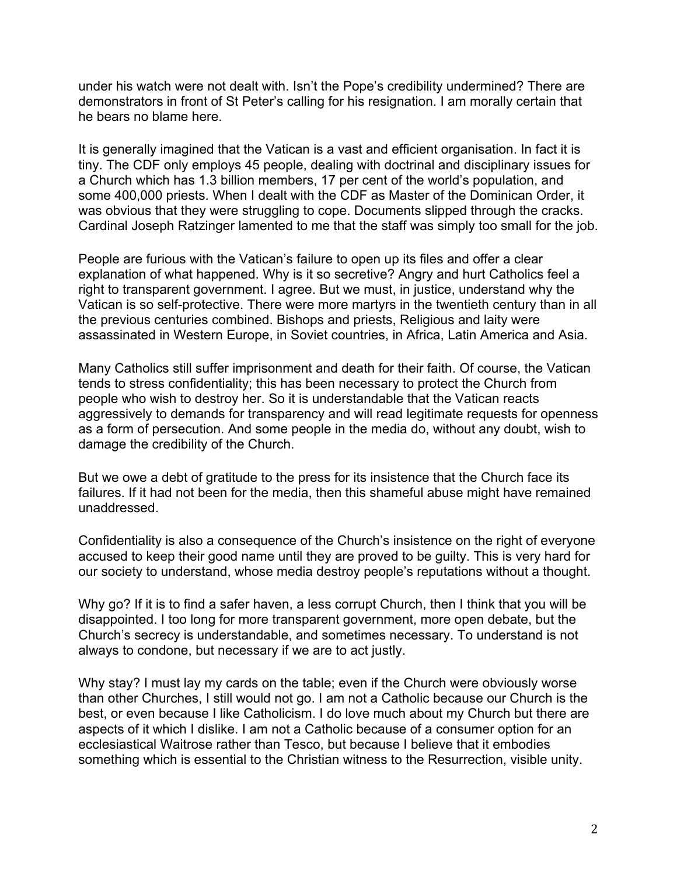under his watch were not dealt with. Isn't the Pope's credibility undermined? There are demonstrators in front of St Peter's calling for his resignation. I am morally certain that he bears no blame here.

It is generally imagined that the Vatican is a vast and efficient organisation. In fact it is tiny. The CDF only employs 45 people, dealing with doctrinal and disciplinary issues for a Church which has 1.3 billion members, 17 per cent of the world's population, and some 400,000 priests. When I dealt with the CDF as Master of the Dominican Order, it was obvious that they were struggling to cope. Documents slipped through the cracks. Cardinal Joseph Ratzinger lamented to me that the staff was simply too small for the job.

People are furious with the Vatican's failure to open up its files and offer a clear explanation of what happened. Why is it so secretive? Angry and hurt Catholics feel a right to transparent government. I agree. But we must, in justice, understand why the Vatican is so self-protective. There were more martyrs in the twentieth century than in all the previous centuries combined. Bishops and priests, Religious and laity were assassinated in Western Europe, in Soviet countries, in Africa, Latin America and Asia.

Many Catholics still suffer imprisonment and death for their faith. Of course, the Vatican tends to stress confidentiality; this has been necessary to protect the Church from people who wish to destroy her. So it is understandable that the Vatican reacts aggressively to demands for transparency and will read legitimate requests for openness as a form of persecution. And some people in the media do, without any doubt, wish to damage the credibility of the Church.

But we owe a debt of gratitude to the press for its insistence that the Church face its failures. If it had not been for the media, then this shameful abuse might have remained unaddressed.

Confidentiality is also a consequence of the Church's insistence on the right of everyone accused to keep their good name until they are proved to be guilty. This is very hard for our society to understand, whose media destroy people's reputations without a thought.

Why go? If it is to find a safer haven, a less corrupt Church, then I think that you will be disappointed. I too long for more transparent government, more open debate, but the Church's secrecy is understandable, and sometimes necessary. To understand is not always to condone, but necessary if we are to act justly.

Why stay? I must lay my cards on the table; even if the Church were obviously worse than other Churches, I still would not go. I am not a Catholic because our Church is the best, or even because I like Catholicism. I do love much about my Church but there are aspects of it which I dislike. I am not a Catholic because of a consumer option for an ecclesiastical Waitrose rather than Tesco, but because I believe that it embodies something which is essential to the Christian witness to the Resurrection, visible unity.